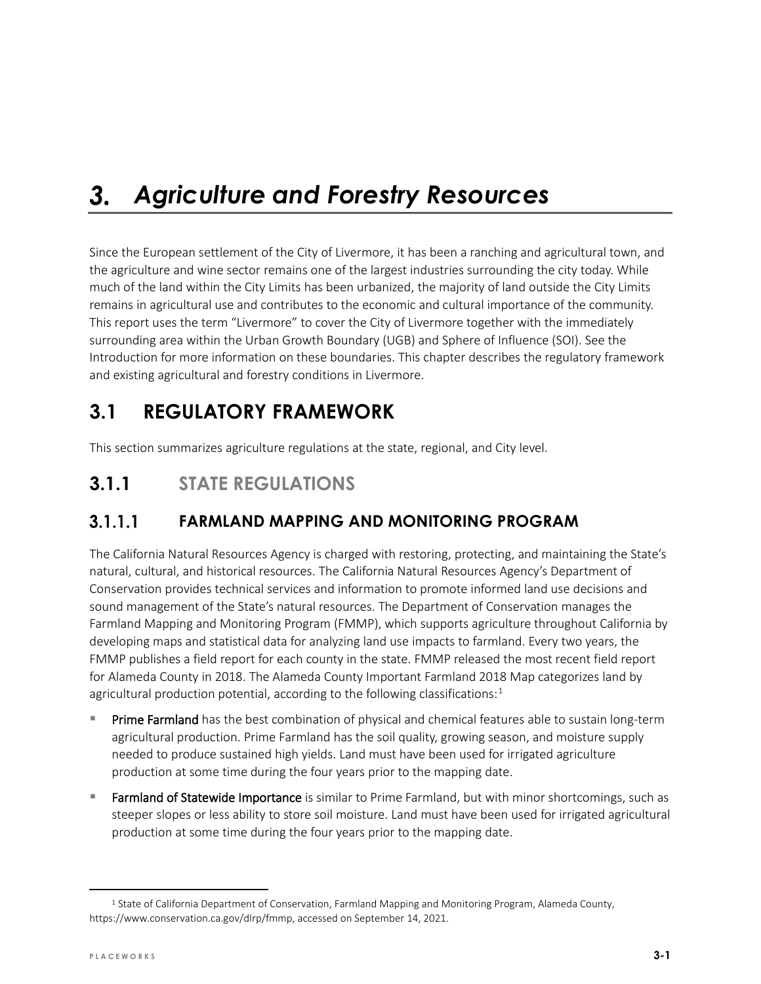### $3.$ *Agriculture and Forestry Resources*

Since the European settlement of the City of Livermore, it has been a ranching and agricultural town, and the agriculture and wine sector remains one of the largest industries surrounding the city today. While much of the land within the City Limits has been urbanized, the majority of land outside the City Limits remains in agricultural use and contributes to the economic and cultural importance of the community. This report uses the term "Livermore" to cover the City of Livermore together with the immediately surrounding area within the Urban Growth Boundary (UGB) and Sphere of Influence (SOI). See the Introduction for more information on these boundaries. This chapter describes the regulatory framework and existing agricultural and forestry conditions in Livermore.

# **3.1 REGULATORY FRAMEWORK**

This section summarizes agriculture regulations at the state, regional, and City level.

# **3.1.1 STATE REGULATIONS**

#### **FARMLAND MAPPING AND MONITORING PROGRAM**  $3.1.1.1$

The California Natural Resources Agency is charged with restoring, protecting, and maintaining the State's natural, cultural, and historical resources. The California Natural Resources Agency's Department of Conservation provides technical services and information to promote informed land use decisions and sound management of the State's natural resources. The Department of Conservation manages the Farmland Mapping and Monitoring Program (FMMP), which supports agriculture throughout California by developing maps and statistical data for analyzing land use impacts to farmland. Every two years, the FMMP publishes a field report for each county in the state. FMMP released the most recent field report for Alameda County in 2018. The Alameda County Important Farmland 2018 Map categorizes land by agricultural production potential, according to the following classifications: $1$ 

- Prime Farmland has the best combination of physical and chemical features able to sustain long-term agricultural production. Prime Farmland has the soil quality, growing season, and moisture supply needed to produce sustained high yields. Land must have been used for irrigated agriculture production at some time during the four years prior to the mapping date.
- Farmland of Statewide Importance is similar to Prime Farmland, but with minor shortcomings, such as steeper slopes or less ability to store soil moisture. Land must have been used for irrigated agricultural production at some time during the four years prior to the mapping date.

<span id="page-0-0"></span><sup>1</sup> State of California Department of Conservation, Farmland Mapping and Monitoring Program, Alameda County, https://www.conservation.ca.gov/dlrp/fmmp, accessed on September 14, 2021.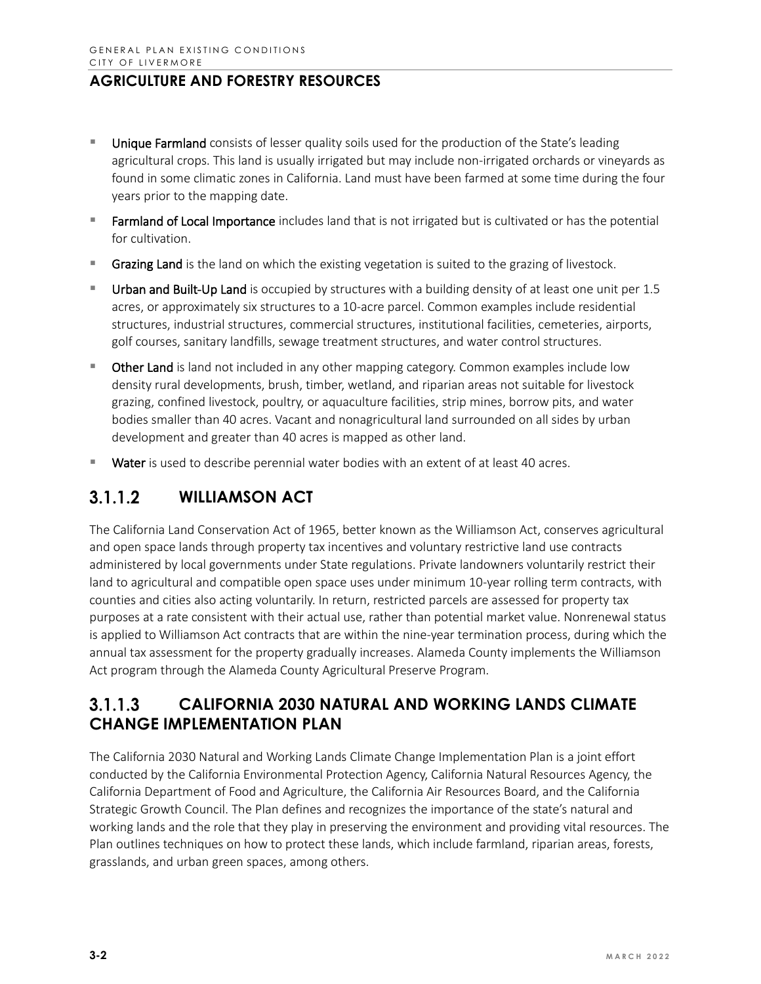- Unique Farmland consists of lesser quality soils used for the production of the State's leading agricultural crops. This land is usually irrigated but may include non-irrigated orchards or vineyards as found in some climatic zones in California. Land must have been farmed at some time during the four years prior to the mapping date.
- Farmland of Local Importance includes land that is not irrigated but is cultivated or has the potential for cultivation.
- Grazing Land is the land on which the existing vegetation is suited to the grazing of livestock.
- Urban and Built-Up Land is occupied by structures with a building density of at least one unit per 1.5 acres, or approximately six structures to a 10-acre parcel. Common examples include residential structures, industrial structures, commercial structures, institutional facilities, cemeteries, airports, golf courses, sanitary landfills, sewage treatment structures, and water control structures.
- Other Land is land not included in any other mapping category. Common examples include low density rural developments, brush, timber, wetland, and riparian areas not suitable for livestock grazing, confined livestock, poultry, or aquaculture facilities, strip mines, borrow pits, and water bodies smaller than 40 acres. Vacant and nonagricultural land surrounded on all sides by urban development and greater than 40 acres is mapped as other land.
- $\blacksquare$  Water is used to describe perennial water bodies with an extent of at least 40 acres.

### $3.1.1.2$ **WILLIAMSON ACT**

The California Land Conservation Act of 1965, better known as the Williamson Act, conserves agricultural and open space lands through property tax incentives and voluntary restrictive land use contracts administered by local governments under State regulations. Private landowners voluntarily restrict their land to agricultural and compatible open space uses under minimum 10-year rolling term contracts, with counties and cities also acting voluntarily. In return, restricted parcels are assessed for property tax purposes at a rate consistent with their actual use, rather than potential market value. Nonrenewal status is applied to Williamson Act contracts that are within the nine-year termination process, during which the annual tax assessment for the property gradually increases. Alameda County implements the Williamson Act program through the Alameda County Agricultural Preserve Program.

### $3.1.1.3$ **CALIFORNIA 2030 NATURAL AND WORKING LANDS CLIMATE CHANGE IMPLEMENTATION PLAN**

The California 2030 Natural and Working Lands Climate Change Implementation Plan is a joint effort conducted by the California Environmental Protection Agency, California Natural Resources Agency, the California Department of Food and Agriculture, the California Air Resources Board, and the California Strategic Growth Council. The Plan defines and recognizes the importance of the state's natural and working lands and the role that they play in preserving the environment and providing vital resources. The Plan outlines techniques on how to protect these lands, which include farmland, riparian areas, forests, grasslands, and urban green spaces, among others.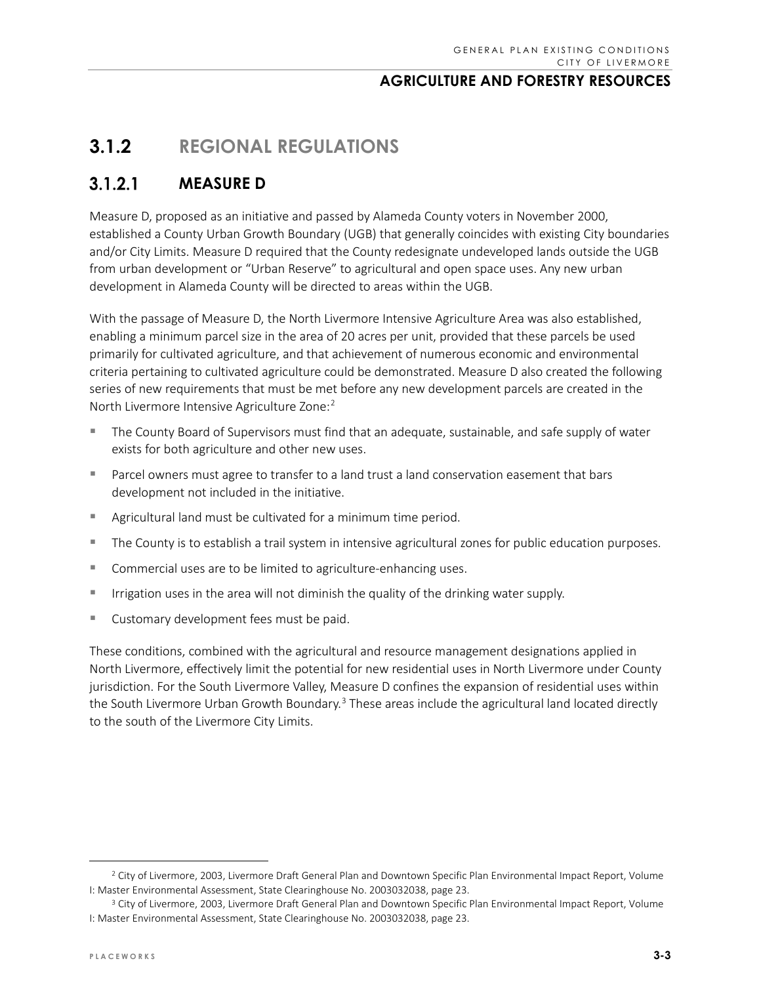# **3.1.2 REGIONAL REGULATIONS**

### $3.1.2.1$ **MEASURE D**

Measure D, proposed as an initiative and passed by Alameda County voters in November 2000, established a County Urban Growth Boundary (UGB) that generally coincides with existing City boundaries and/or City Limits. Measure D required that the County redesignate undeveloped lands outside the UGB from urban development or "Urban Reserve" to agricultural and open space uses. Any new urban development in Alameda County will be directed to areas within the UGB.

With the passage of Measure D, the North Livermore Intensive Agriculture Area was also established, enabling a minimum parcel size in the area of 20 acres per unit, provided that these parcels be used primarily for cultivated agriculture, and that achievement of numerous economic and environmental criteria pertaining to cultivated agriculture could be demonstrated. Measure D also created the following series of new requirements that must be met before any new development parcels are created in the North Livermore Intensive Agriculture Zone:<sup>[2](#page-2-0)</sup>

- The County Board of Supervisors must find that an adequate, sustainable, and safe supply of water exists for both agriculture and other new uses.
- Parcel owners must agree to transfer to a land trust a land conservation easement that bars development not included in the initiative.
- Agricultural land must be cultivated for a minimum time period.
- The County is to establish a trail system in intensive agricultural zones for public education purposes.
- Commercial uses are to be limited to agriculture-enhancing uses.
- **IF IT IT IT IT 10** Irrigation uses in the area will not diminish the quality of the drinking water supply.
- Customary development fees must be paid.

These conditions, combined with the agricultural and resource management designations applied in North Livermore, effectively limit the potential for new residential uses in North Livermore under County jurisdiction. For the South Livermore Valley, Measure D confines the expansion of residential uses within the South Livermore Urban Growth Boundary.<sup>[3](#page-2-1)</sup> These areas include the agricultural land located directly to the south of the Livermore City Limits.

<span id="page-2-0"></span><sup>&</sup>lt;sup>2</sup> City of Livermore, 2003, Livermore Draft General Plan and Downtown Specific Plan Environmental Impact Report, Volume I: Master Environmental Assessment, State Clearinghouse No. 2003032038, page 23.

<span id="page-2-1"></span><sup>&</sup>lt;sup>3</sup> City of Livermore, 2003, Livermore Draft General Plan and Downtown Specific Plan Environmental Impact Report, Volume I: Master Environmental Assessment, State Clearinghouse No. 2003032038, page 23.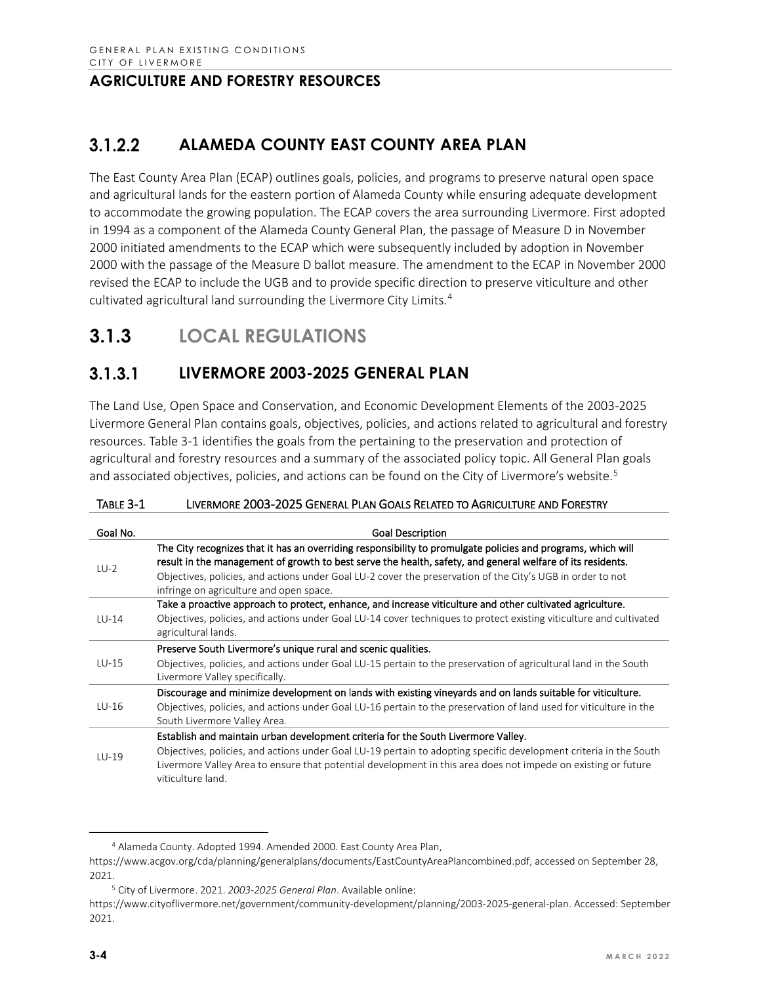#### $3.1.2.2$ **ALAMEDA COUNTY EAST COUNTY AREA PLAN**

The East County Area Plan (ECAP) outlines goals, policies, and programs to preserve natural open space and agricultural lands for the eastern portion of Alameda County while ensuring adequate development to accommodate the growing population. The ECAP covers the area surrounding Livermore. First adopted in 1994 as a component of the Alameda County General Plan, the passage of Measure D in November 2000 initiated amendments to the ECAP which were subsequently included by adoption in November 2000 with the passage of the Measure D ballot measure. The amendment to the ECAP in November 2000 revised the ECAP to include the UGB and to provide specific direction to preserve viticulture and other cultivated agricultural land surrounding the Livermore City Limits.<sup>[4](#page-3-0)</sup>

# **3.1.3 LOCAL REGULATIONS**

#### $3.1.3.1$ **LIVERMORE 2003-2025 GENERAL PLAN**

The Land Use, Open Space and Conservation, and Economic Development Elements of the 2003-2025 Livermore General Plan contains goals, objectives, policies, and actions related to agricultural and forestry resources. Table 3-1 identifies the goals from the pertaining to the preservation and protection of agricultural and forestry resources and a summary of the associated policy topic. All General Plan goals and associated objectives, policies, and actions can be found on the City of Livermore's website.<sup>[5](#page-3-1)</sup>

| TABLE 3-1 | LIVERMORE 2003-2025 GENERAL PLAN GOALS RELATED TO AGRICULTURE AND FORESTRY |
|-----------|----------------------------------------------------------------------------|
|           |                                                                            |

| Goal No. | <b>Goal Description</b>                                                                                                                                                                                                                                                                                                                                                             |
|----------|-------------------------------------------------------------------------------------------------------------------------------------------------------------------------------------------------------------------------------------------------------------------------------------------------------------------------------------------------------------------------------------|
| $LU-2$   | The City recognizes that it has an overriding responsibility to promulgate policies and programs, which will<br>result in the management of growth to best serve the health, safety, and general welfare of its residents.<br>Objectives, policies, and actions under Goal LU-2 cover the preservation of the City's UGB in order to not<br>infringe on agriculture and open space. |
|          | Take a proactive approach to protect, enhance, and increase viticulture and other cultivated agriculture.                                                                                                                                                                                                                                                                           |
| $LU-14$  | Objectives, policies, and actions under Goal LU-14 cover techniques to protect existing viticulture and cultivated<br>agricultural lands.                                                                                                                                                                                                                                           |
|          | Preserve South Livermore's unique rural and scenic qualities.                                                                                                                                                                                                                                                                                                                       |
| $LU-15$  | Objectives, policies, and actions under Goal LU-15 pertain to the preservation of agricultural land in the South<br>Livermore Valley specifically.                                                                                                                                                                                                                                  |
|          | Discourage and minimize development on lands with existing vineyards and on lands suitable for viticulture.                                                                                                                                                                                                                                                                         |
| $LU-16$  | Objectives, policies, and actions under Goal LU-16 pertain to the preservation of land used for viticulture in the<br>South Livermore Valley Area.                                                                                                                                                                                                                                  |
| $LU-19$  | Establish and maintain urban development criteria for the South Livermore Valley.                                                                                                                                                                                                                                                                                                   |
|          | Objectives, policies, and actions under Goal LU-19 pertain to adopting specific development criteria in the South<br>Livermore Valley Area to ensure that potential development in this area does not impede on existing or future<br>viticulture land.                                                                                                                             |

<sup>4</sup> Alameda County. Adopted 1994. Amended 2000. East County Area Plan,

<span id="page-3-0"></span>[https://www.acgov.org/cda/planning/generalplans/documents/EastCountyAreaPlancombined.pdf,](https://www.acgov.org/cda/planning/generalplans/documents/EastCountyAreaPlancombined.pdf) accessed on September 28, 2021.

<sup>5</sup> City of Livermore. 2021. *2003-2025 General Plan*. Available online:

<span id="page-3-1"></span>https://www.cityoflivermore.net/government/community-development/planning/2003-2025-general-plan. Accessed: September 2021.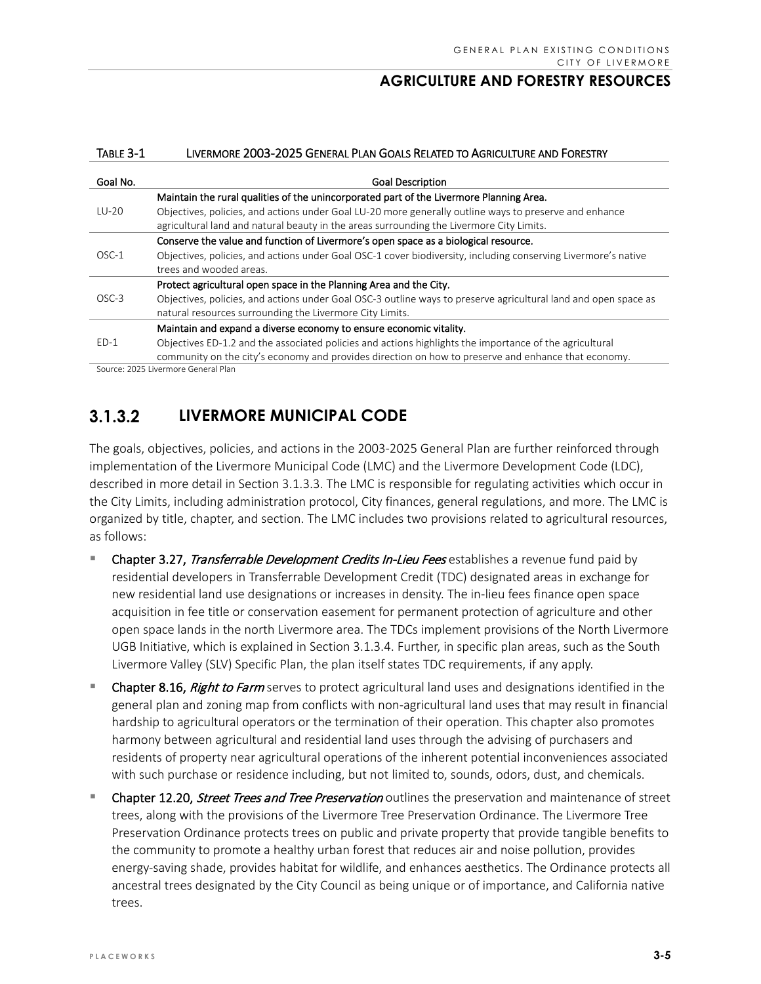### TABLE 3-1 LIVERMORE 2003-2025 GENERAL PLAN GOALS RELATED TO AGRICULTURE AND FORESTRY

| Goal No. | <b>Goal Description</b>                                                                                                                                                                                        |
|----------|----------------------------------------------------------------------------------------------------------------------------------------------------------------------------------------------------------------|
|          | Maintain the rural qualities of the unincorporated part of the Livermore Planning Area.                                                                                                                        |
| $LU-20$  | Objectives, policies, and actions under Goal LU-20 more generally outline ways to preserve and enhance<br>agricultural land and natural beauty in the areas surrounding the Livermore City Limits.             |
|          | Conserve the value and function of Livermore's open space as a biological resource.                                                                                                                            |
| $OSC-1$  | Objectives, policies, and actions under Goal OSC-1 cover biodiversity, including conserving Livermore's native                                                                                                 |
|          | trees and wooded areas.                                                                                                                                                                                        |
|          | Protect agricultural open space in the Planning Area and the City.                                                                                                                                             |
| OSC-3    | Objectives, policies, and actions under Goal OSC-3 outline ways to preserve agricultural land and open space as                                                                                                |
|          | natural resources surrounding the Livermore City Limits.                                                                                                                                                       |
|          | Maintain and expand a diverse economy to ensure economic vitality.                                                                                                                                             |
| $FD-1$   | Objectives ED-1.2 and the associated policies and actions highlights the importance of the agricultural<br>community on the city's economy and provides direction on how to preserve and enhance that economy. |

Source: 2025 Livermore General Plan

#### $3.1.3.2$ **LIVERMORE MUNICIPAL CODE**

The goals, objectives, policies, and actions in the 2003-2025 General Plan are further reinforced through implementation of the Livermore Municipal Code (LMC) and the Livermore Development Code (LDC), described in more detail in Section 3.1.3.3. The LMC is responsible for regulating activities which occur in the City Limits, including administration protocol, City finances, general regulations, and more. The LMC is organized by title, chapter, and section. The LMC includes two provisions related to agricultural resources, as follows:

- Chapter 3.27, Transferrable Development Credits In-Lieu Fees establishes a revenue fund paid by residential developers in Transferrable Development Credit (TDC) designated areas in exchange for new residential land use designations or increases in density. The in-lieu fees finance open space acquisition in fee title or conservation easement for permanent protection of agriculture and other open space lands in the north Livermore area. The TDCs implement provisions of the North Livermore UGB Initiative, which is explained in Section 3.1.3.4. Further, in specific plan areas, such as the South Livermore Valley (SLV) Specific Plan, the plan itself states TDC requirements, if any apply.
- Chapter 8.16, Right to Farm serves to protect agricultural land uses and designations identified in the general plan and zoning map from conflicts with non-agricultural land uses that may result in financial hardship to agricultural operators or the termination of their operation. This chapter also promotes harmony between agricultural and residential land uses through the advising of purchasers and residents of property near agricultural operations of the inherent potential inconveniences associated with such purchase or residence including, but not limited to, sounds, odors, dust, and chemicals.
- Chapter 12.20, Street Trees and Tree Preservation outlines the preservation and maintenance of street trees, along with the provisions of the Livermore Tree Preservation Ordinance. The Livermore Tree Preservation Ordinance protects trees on public and private property that provide tangible benefits to the community to promote a healthy urban forest that reduces air and noise pollution, provides energy-saving shade, provides habitat for wildlife, and enhances aesthetics. The Ordinance protects all ancestral trees designated by the City Council as being unique or of importance, and California native trees.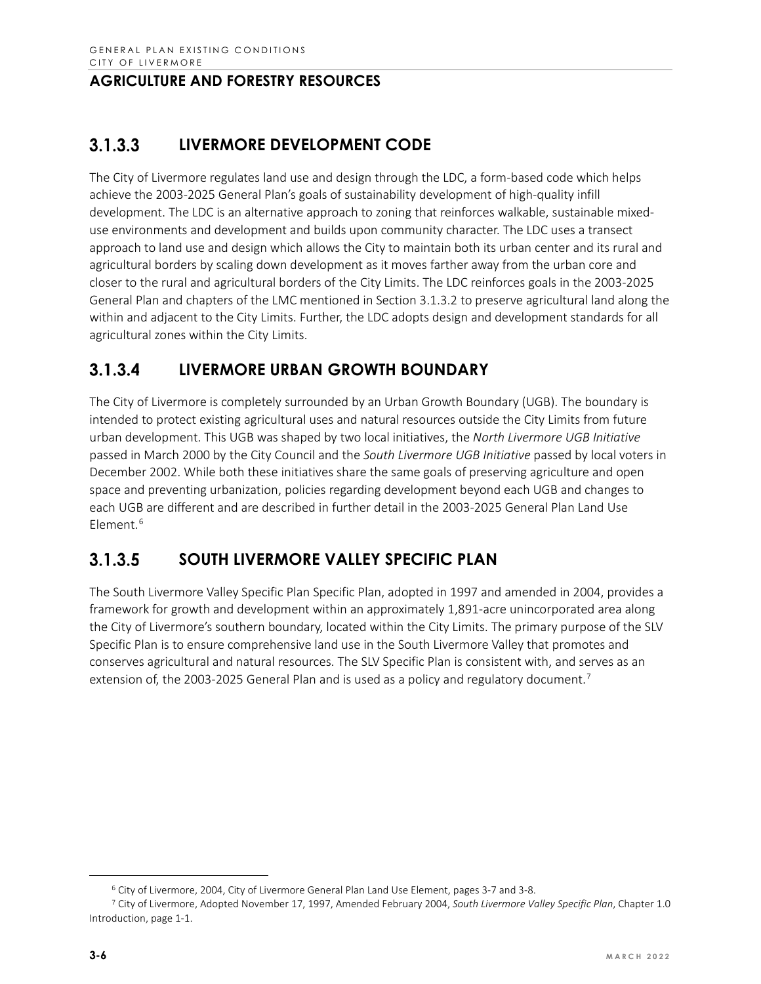### $3.1.3.3$ **LIVERMORE DEVELOPMENT CODE**

The City of Livermore regulates land use and design through the LDC, a form-based code which helps achieve the 2003-2025 General Plan's goals of sustainability development of high-quality infill development. The LDC is an alternative approach to zoning that reinforces walkable, sustainable mixeduse environments and development and builds upon community character. The LDC uses a transect approach to land use and design which allows the City to maintain both its urban center and its rural and agricultural borders by scaling down development as it moves farther away from the urban core and closer to the rural and agricultural borders of the City Limits. The LDC reinforces goals in the 2003-2025 General Plan and chapters of the LMC mentioned in Section 3.1.3.2 to preserve agricultural land along the within and adjacent to the City Limits. Further, the LDC adopts design and development standards for all agricultural zones within the City Limits.

#### $3.1.3.4$ **LIVERMORE URBAN GROWTH BOUNDARY**

The City of Livermore is completely surrounded by an Urban Growth Boundary (UGB). The boundary is intended to protect existing agricultural uses and natural resources outside the City Limits from future urban development. This UGB was shaped by two local initiatives, the *North Livermore UGB Initiative* passed in March 2000 by the City Council and the *South Livermore UGB Initiative* passed by local voters in December 2002. While both these initiatives share the same goals of preserving agriculture and open space and preventing urbanization, policies regarding development beyond each UGB and changes to each UGB are different and are described in further detail in the 2003-2025 General Plan Land Use Element.[6](#page-5-0)

### $3.1.3.5$ **SOUTH LIVERMORE VALLEY SPECIFIC PLAN**

The South Livermore Valley Specific Plan Specific Plan, adopted in 1997 and amended in 2004, provides a framework for growth and development within an approximately 1,891-acre unincorporated area along the City of Livermore's southern boundary, located within the City Limits. The primary purpose of the SLV Specific Plan is to ensure comprehensive land use in the South Livermore Valley that promotes and conserves agricultural and natural resources. The SLV Specific Plan is consistent with, and serves as an extension of, the 2003-2025 General Plan and is used as a policy and regulatory document.<sup>[7](#page-5-1)</sup>

<sup>6</sup> City of Livermore, 2004, City of Livermore General Plan Land Use Element, pages 3-7 and 3-8.

<span id="page-5-1"></span><span id="page-5-0"></span><sup>7</sup> City of Livermore, Adopted November 17, 1997, Amended February 2004, *South Livermore Valley Specific Plan*, Chapter 1.0 Introduction, page 1-1.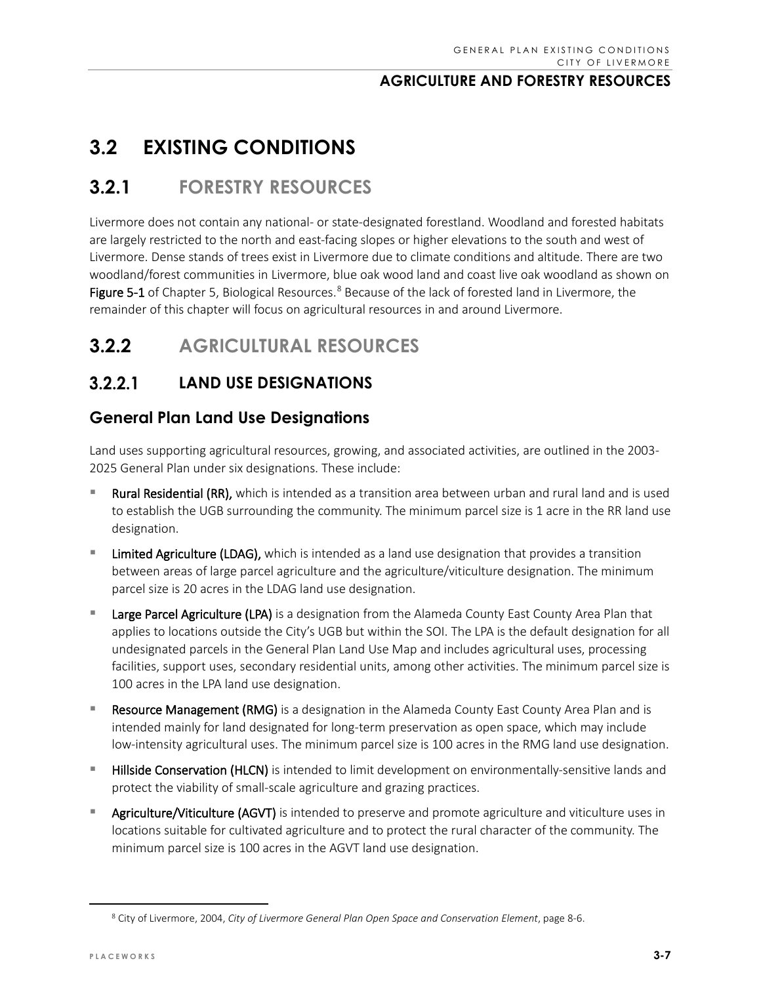# **3.2 EXISTING CONDITIONS**

# **3.2.1 FORESTRY RESOURCES**

Livermore does not contain any national- or state-designated forestland. Woodland and forested habitats are largely restricted to the north and east-facing slopes or higher elevations to the south and west of Livermore. Dense stands of trees exist in Livermore due to climate conditions and altitude. There are two woodland/forest communities in Livermore, blue oak wood land and coast live oak woodland as shown on Figure 5-1 of Chapter 5, Biological Resources.<sup>[8](#page-6-0)</sup> Because of the lack of forested land in Livermore, the remainder of this chapter will focus on agricultural resources in and around Livermore.

# **3.2.2 AGRICULTURAL RESOURCES**

#### $3.2.2.1$ **LAND USE DESIGNATIONS**

## **General Plan Land Use Designations**

Land uses supporting agricultural resources, growing, and associated activities, are outlined in the 2003- 2025 General Plan under six designations. These include:

- Rural Residential (RR), which is intended as a transition area between urban and rural land and is used to establish the UGB surrounding the community. The minimum parcel size is 1 acre in the RR land use designation.
- Limited Agriculture (LDAG), which is intended as a land use designation that provides a transition between areas of large parcel agriculture and the agriculture/viticulture designation. The minimum parcel size is 20 acres in the LDAG land use designation.
- Large Parcel Agriculture (LPA) is a designation from the Alameda County East County Area Plan that applies to locations outside the City's UGB but within the SOI. The LPA is the default designation for all undesignated parcels in the General Plan Land Use Map and includes agricultural uses, processing facilities, support uses, secondary residential units, among other activities. The minimum parcel size is 100 acres in the LPA land use designation.
- Resource Management (RMG) is a designation in the Alameda County East County Area Plan and is intended mainly for land designated for long-term preservation as open space, which may include low-intensity agricultural uses. The minimum parcel size is 100 acres in the RMG land use designation.
- Hillside Conservation (HLCN) is intended to limit development on environmentally-sensitive lands and protect the viability of small-scale agriculture and grazing practices.
- Agriculture/Viticulture (AGVT) is intended to preserve and promote agriculture and viticulture uses in locations suitable for cultivated agriculture and to protect the rural character of the community. The minimum parcel size is 100 acres in the AGVT land use designation.

<span id="page-6-0"></span><sup>8</sup> City of Livermore, 2004, *City of Livermore General Plan Open Space and Conservation Element*, page 8-6.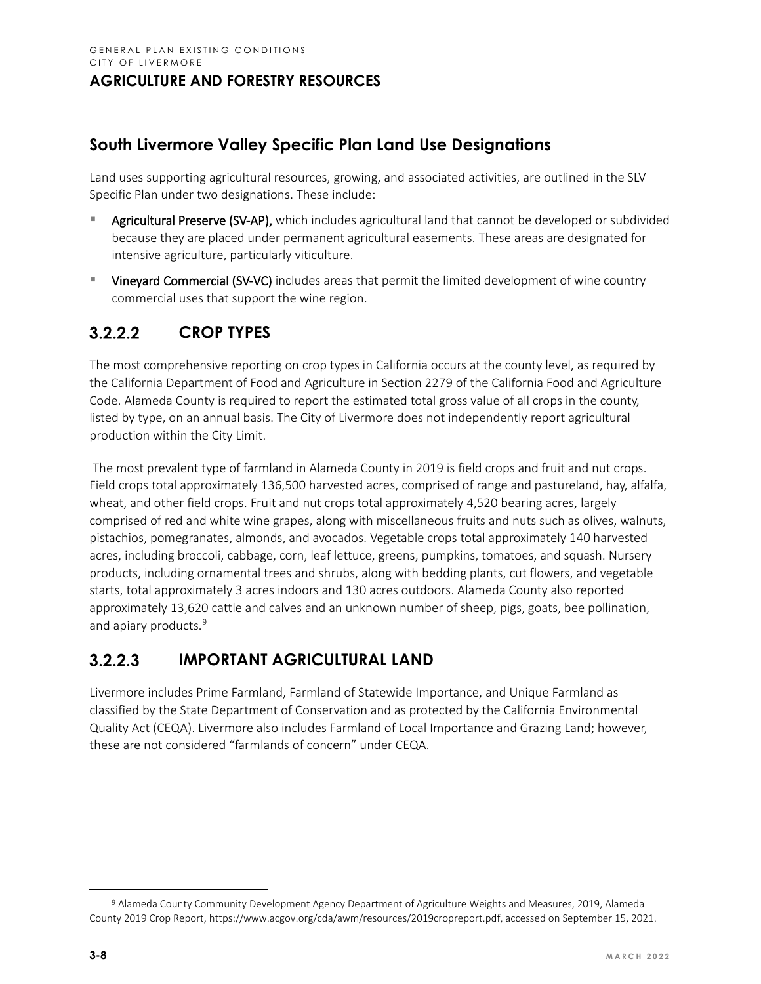## **South Livermore Valley Specific Plan Land Use Designations**

Land uses supporting agricultural resources, growing, and associated activities, are outlined in the SLV Specific Plan under two designations. These include:

- Agricultural Preserve (SV-AP), which includes agricultural land that cannot be developed or subdivided because they are placed under permanent agricultural easements. These areas are designated for intensive agriculture, particularly viticulture.
- Vineyard Commercial (SV-VC) includes areas that permit the limited development of wine country commercial uses that support the wine region.

### $3.2.2.2$ **CROP TYPES**

The most comprehensive reporting on crop types in California occurs at the county level, as required by the California Department of Food and Agriculture in Section 2279 of the California Food and Agriculture Code. Alameda County is required to report the estimated total gross value of all crops in the county, listed by type, on an annual basis. The City of Livermore does not independently report agricultural production within the City Limit.

The most prevalent type of farmland in Alameda County in 2019 is field crops and fruit and nut crops. Field crops total approximately 136,500 harvested acres, comprised of range and pastureland, hay, alfalfa, wheat, and other field crops. Fruit and nut crops total approximately 4,520 bearing acres, largely comprised of red and white wine grapes, along with miscellaneous fruits and nuts such as olives, walnuts, pistachios, pomegranates, almonds, and avocados. Vegetable crops total approximately 140 harvested acres, including broccoli, cabbage, corn, leaf lettuce, greens, pumpkins, tomatoes, and squash. Nursery products, including ornamental trees and shrubs, along with bedding plants, cut flowers, and vegetable starts, total approximately 3 acres indoors and 130 acres outdoors. Alameda County also reported approximately 13,620 cattle and calves and an unknown number of sheep, pigs, goats, bee pollination, and apiary products.<sup>[9](#page-7-0)</sup>

#### **IMPORTANT AGRICULTURAL LAND**  $3.2.2.3$

Livermore includes Prime Farmland, Farmland of Statewide Importance, and Unique Farmland as classified by the State Department of Conservation and as protected by the California Environmental Quality Act (CEQA). Livermore also includes Farmland of Local Importance and Grazing Land; however, these are not considered "farmlands of concern" under CEQA.

<span id="page-7-0"></span><sup>9</sup> Alameda County Community Development Agency Department of Agriculture Weights and Measures, 2019, Alameda County 2019 Crop Report[, https://www.acgov.org/cda/awm/resources/2019cropreport.pdf,](https://www.acgov.org/cda/awm/resources/2019cropreport.pdf) accessed on September 15, 2021.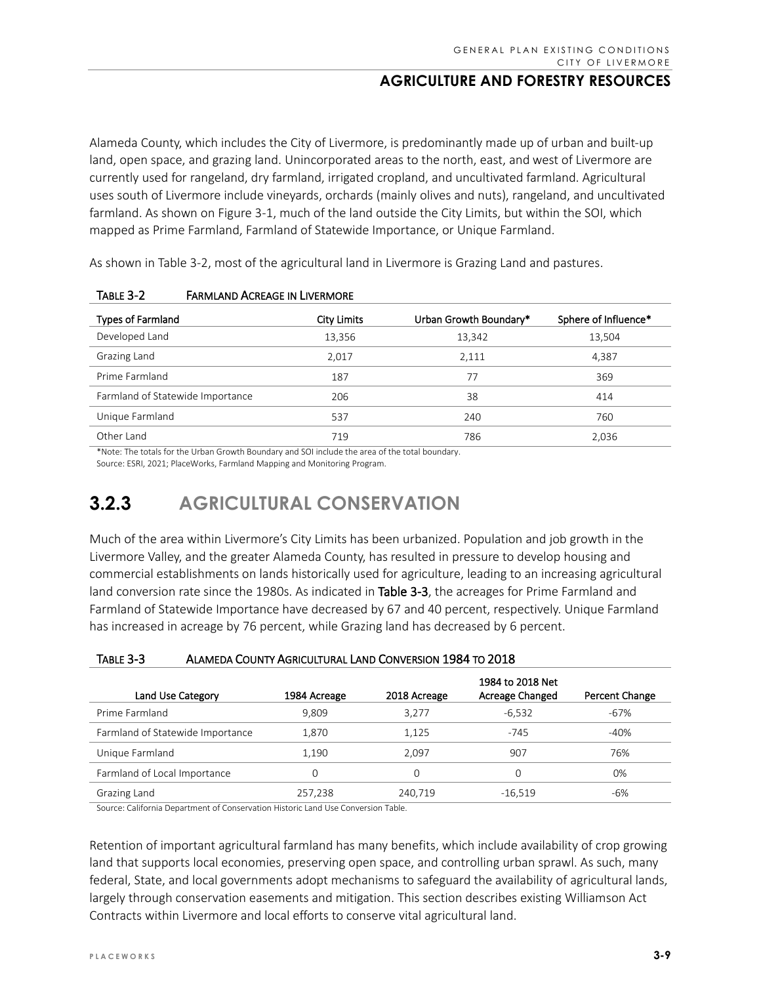Alameda County, which includes the City of Livermore, is predominantly made up of urban and built-up land, open space, and grazing land. Unincorporated areas to the north, east, and west of Livermore are currently used for rangeland, dry farmland, irrigated cropland, and uncultivated farmland. Agricultural uses south of Livermore include vineyards, orchards (mainly olives and nuts), rangeland, and uncultivated farmland. As shown on Figure 3-1, much of the land outside the City Limits, but within the SOI, which mapped as Prime Farmland, Farmland of Statewide Importance, or Unique Farmland.

As shown in Table 3-2, most of the agricultural land in Livermore is Grazing Land and pastures.

| <b>Types of Farmland</b>         | <b>City Limits</b> | Urban Growth Boundary* | Sphere of Influence* |
|----------------------------------|--------------------|------------------------|----------------------|
| Developed Land                   | 13,356             | 13,342                 | 13,504               |
| Grazing Land                     | 2,017              | 2,111                  | 4,387                |
| Prime Farmland                   | 187                | 77                     | 369                  |
| Farmland of Statewide Importance | 206                | 38                     | 414                  |
| Unique Farmland                  | 537                | 240                    | 760                  |
| Other Land                       | 719                | 786                    | 2,036                |

### TABLE 3-2 FARMLAND ACREAGE IN LIVERMORE

\*Note: The totals for the Urban Growth Boundary and SOI include the area of the total boundary.

Source: ESRI, 2021; PlaceWorks, Farmland Mapping and Monitoring Program.

# **3.2.3 AGRICULTURAL CONSERVATION**

Much of the area within Livermore's City Limits has been urbanized. Population and job growth in the Livermore Valley, and the greater Alameda County, has resulted in pressure to develop housing and commercial establishments on lands historically used for agriculture, leading to an increasing agricultural land conversion rate since the 1980s. As indicated in Table 3-3, the acreages for Prime Farmland and Farmland of Statewide Importance have decreased by 67 and 40 percent, respectively. Unique Farmland has increased in acreage by 76 percent, while Grazing land has decreased by 6 percent.

| Land Use Category                | 1984 Acreage | 2018 Acreage | 1984 to 2018 Net<br>Acreage Changed | Percent Change |
|----------------------------------|--------------|--------------|-------------------------------------|----------------|
| Prime Farmland                   | 9.809        | 3,277        | $-6,532$                            | $-67%$         |
| Farmland of Statewide Importance | 1,870        | 1,125        | $-745$                              | $-40%$         |
| Unique Farmland                  | 1.190        | 2.097        | 907                                 | 76%            |
| Farmland of Local Importance     |              | 0            | $\Omega$                            | 0%             |
| Grazing Land                     | 257,238      | 240,719      | -16,519                             | -6%            |

### TABLE 3-3 ALAMEDA COUNTY AGRICULTURAL LAND CONVERSION 1984 TO 2018

Source: California Department of Conservation Historic Land Use Conversion Table.

Retention of important agricultural farmland has many benefits, which include availability of crop growing land that supports local economies, preserving open space, and controlling urban sprawl. As such, many federal, State, and local governments adopt mechanisms to safeguard the availability of agricultural lands, largely through conservation easements and mitigation. This section describes existing Williamson Act Contracts within Livermore and local efforts to conserve vital agricultural land.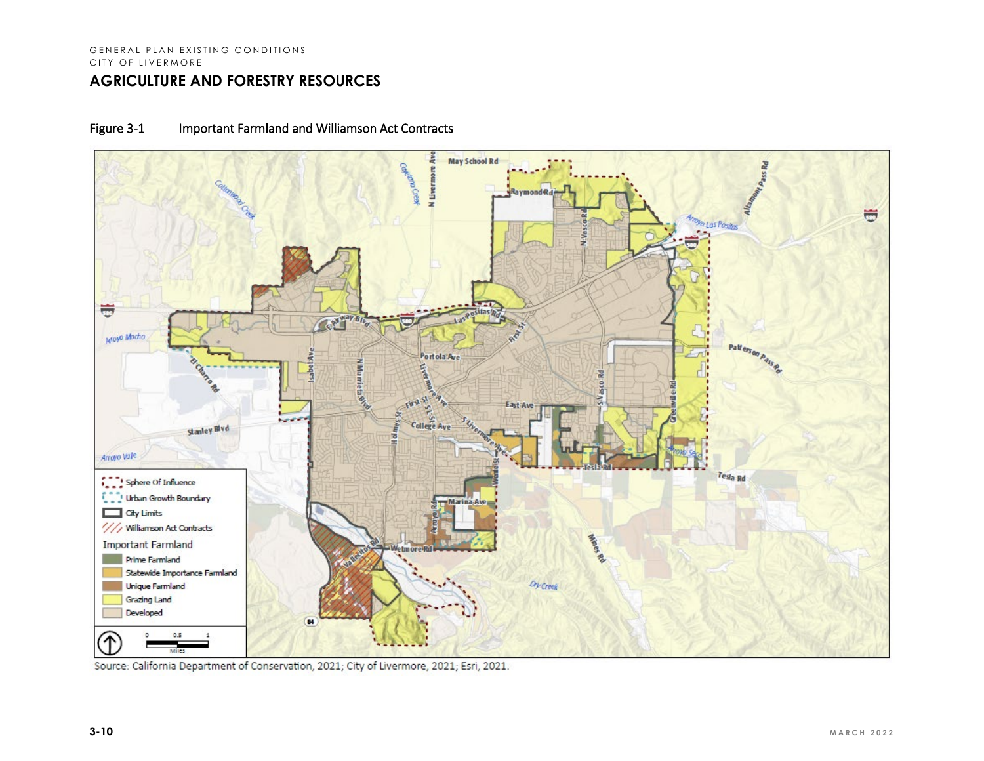

### Figure 3-1 Important Farmland and Williamson Act Contracts

Source: California Department of Conservation, 2021; City of Livermore, 2021; Esri, 2021.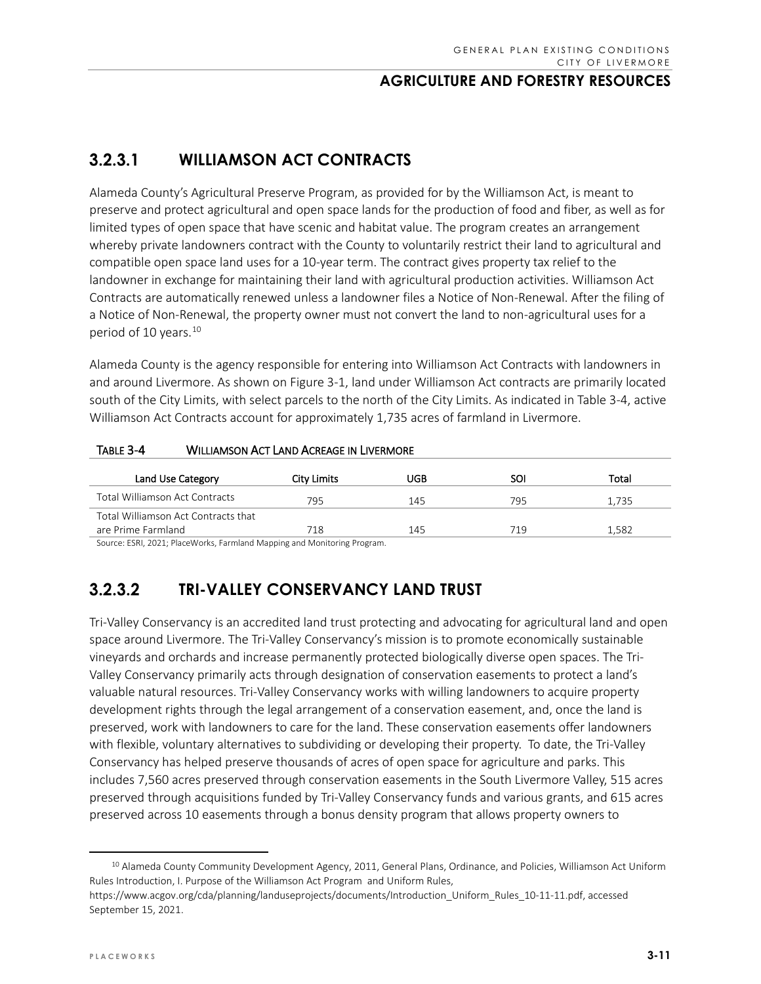### $3.2.3.1$ **WILLIAMSON ACT CONTRACTS**

Alameda County's Agricultural Preserve Program, as provided for by the Williamson Act, is meant to preserve and protect agricultural and open space lands for the production of food and fiber, as well as for limited types of open space that have scenic and habitat value. The program creates an arrangement whereby private landowners contract with the County to voluntarily restrict their land to agricultural and compatible open space land uses for a 10-year term. The contract gives property tax relief to the landowner in exchange for maintaining their land with agricultural production activities. Williamson Act Contracts are automatically renewed unless a landowner files a Notice of Non-Renewal. After the filing of a Notice of Non-Renewal, the property owner must not convert the land to non-agricultural uses for a period of [10](#page-10-0) years.<sup>10</sup>

Alameda County is the agency responsible for entering into Williamson Act Contracts with landowners in and around Livermore. As shown on Figure 3-1, land under Williamson Act contracts are primarily located south of the City Limits, with select parcels to the north of the City Limits. As indicated in Table 3-4, active Williamson Act Contracts account for approximately 1,735 acres of farmland in Livermore.

| Land Use Category                   | City Limits | UGB | SOI | Total |
|-------------------------------------|-------------|-----|-----|-------|
| Total Williamson Act Contracts      | 795         | 145 | 795 | 1.735 |
| Total Williamson Act Contracts that |             |     |     |       |
| are Prime Farmland                  | 718         | 145 | 719 | 1.582 |

### TABLE 3-4 WILLIAMSON ACT LAND ACREAGE IN LIVERMORE

Source: ESRI, 2021; PlaceWorks, Farmland Mapping and Monitoring Program.

#### $3.2.3.2$ **TRI-VALLEY CONSERVANCY LAND TRUST**

Tri-Valley Conservancy is an accredited land trust protecting and advocating for agricultural land and open space around Livermore. The Tri-Valley Conservancy's mission is to promote economically sustainable vineyards and orchards and increase permanently protected biologically diverse open spaces. The Tri-Valley Conservancy primarily acts through designation of conservation easements to protect a land's valuable natural resources. Tri-Valley Conservancy works with willing landowners to acquire property development rights through the legal arrangement of a conservation easement, and, once the land is preserved, work with landowners to care for the land. These conservation easements offer landowners with flexible, voluntary alternatives to subdividing or developing their property. To date, the Tri-Valley Conservancy has helped preserve thousands of acres of open space for agriculture and parks. This includes 7,560 acres preserved through conservation easements in the South Livermore Valley, 515 acres preserved through acquisitions funded by Tri-Valley Conservancy funds and various grants, and 615 acres preserved across 10 easements through a bonus density program that allows property owners to

<span id="page-10-0"></span><sup>&</sup>lt;sup>10</sup> Alameda County Community Development Agency, 2011, General Plans, Ordinance, and Policies, Williamson Act Uniform Rules Introduction, I. Purpose of the Williamson Act Program and Uniform Rules, [https://www.acgov.org/cda/planning/landuseprojects/documents/Introduction\\_Uniform\\_Rules\\_10-11-11.pdf,](https://www.acgov.org/cda/planning/landuseprojects/documents/Introduction_Uniform_Rules_10-11-11.pdf) accessed September 15, 2021.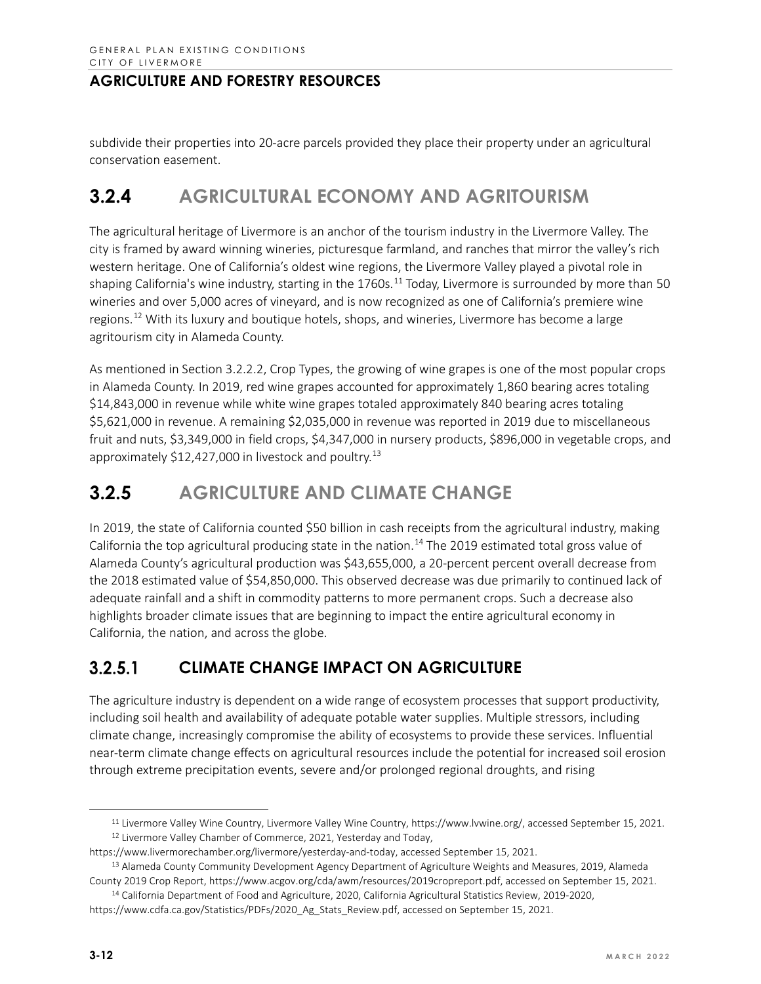subdivide their properties into 20-acre parcels provided they place their property under an agricultural conservation easement.

# **3.2.4 AGRICULTURAL ECONOMY AND AGRITOURISM**

The agricultural heritage of Livermore is an anchor of the tourism industry in the Livermore Valley. The city is framed by award winning wineries, picturesque farmland, and ranches that mirror the valley's rich western heritage. One of California's oldest wine regions, the Livermore Valley played a pivotal role in shaping California's wine industry, starting in the 1760s.<sup>[11](#page-11-0)</sup> Today, Livermore is surrounded by more than 50 wineries and over 5,000 acres of vineyard, and is now recognized as one of California's premiere wine regions.<sup>[12](#page-11-1)</sup> With its luxury and boutique hotels, shops, and wineries, Livermore has become a large agritourism city in Alameda County.

As mentioned in Section 3.2.2.2, Crop Types, the growing of wine grapes is one of the most popular crops in Alameda County. In 2019, red wine grapes accounted for approximately 1,860 bearing acres totaling \$14,843,000 in revenue while white wine grapes totaled approximately 840 bearing acres totaling \$5,621,000 in revenue. A remaining \$2,035,000 in revenue was reported in 2019 due to miscellaneous fruit and nuts, \$3,349,000 in field crops, \$4,347,000 in nursery products, \$896,000 in vegetable crops, and approximately \$12,427,000 in livestock and poultry.<sup>[13](#page-11-2)</sup>

# **3.2.5 AGRICULTURE AND CLIMATE CHANGE**

In 2019, the state of California counted \$50 billion in cash receipts from the agricultural industry, making California the top agricultural producing state in the nation. [14](#page-11-3) The 2019 estimated total gross value of Alameda County's agricultural production was \$43,655,000, a 20-percent percent overall decrease from the 2018 estimated value of \$54,850,000. This observed decrease was due primarily to continued lack of adequate rainfall and a shift in commodity patterns to more permanent crops. Such a decrease also highlights broader climate issues that are beginning to impact the entire agricultural economy in California, the nation, and across the globe.

### $3.2.5.1$ **CLIMATE CHANGE IMPACT ON AGRICULTURE**

The agriculture industry is dependent on a wide range of ecosystem processes that support productivity, including soil health and availability of adequate potable water supplies. Multiple stressors, including climate change, increasingly compromise the ability of ecosystems to provide these services. Influential near-term climate change effects on agricultural resources include the potential for increased soil erosion through extreme precipitation events, severe and/or prolonged regional droughts, and rising

<sup>11</sup> Livermore Valley Wine Country, Livermore Valley Wine Country, https://www.lvwine.org/, accessed September 15, 2021. <sup>12</sup> Livermore Valley Chamber of Commerce, 2021, Yesterday and Today,

<span id="page-11-1"></span><span id="page-11-0"></span>[https://www.livermorechamber.org/livermore/yesterday-and-today,](https://www.livermorechamber.org/livermore/yesterday-and-today) accessed September 15, 2021.

<span id="page-11-2"></span><sup>&</sup>lt;sup>13</sup> Alameda County Community Development Agency Department of Agriculture Weights and Measures, 2019, Alameda County 2019 Crop Report, https://www.acgov.org/cda/awm/resources/2019cropreport.pdf, accessed on September 15, 2021.

<span id="page-11-3"></span><sup>14</sup> California Department of Food and Agriculture, 2020, California Agricultural Statistics Review, 2019-2020, [https://www.cdfa.ca.gov/Statistics/PDFs/2020\\_Ag\\_Stats\\_Review.pdf,](https://www.cdfa.ca.gov/Statistics/PDFs/2020_Ag_Stats_Review.pdf) accessed on September 15, 2021.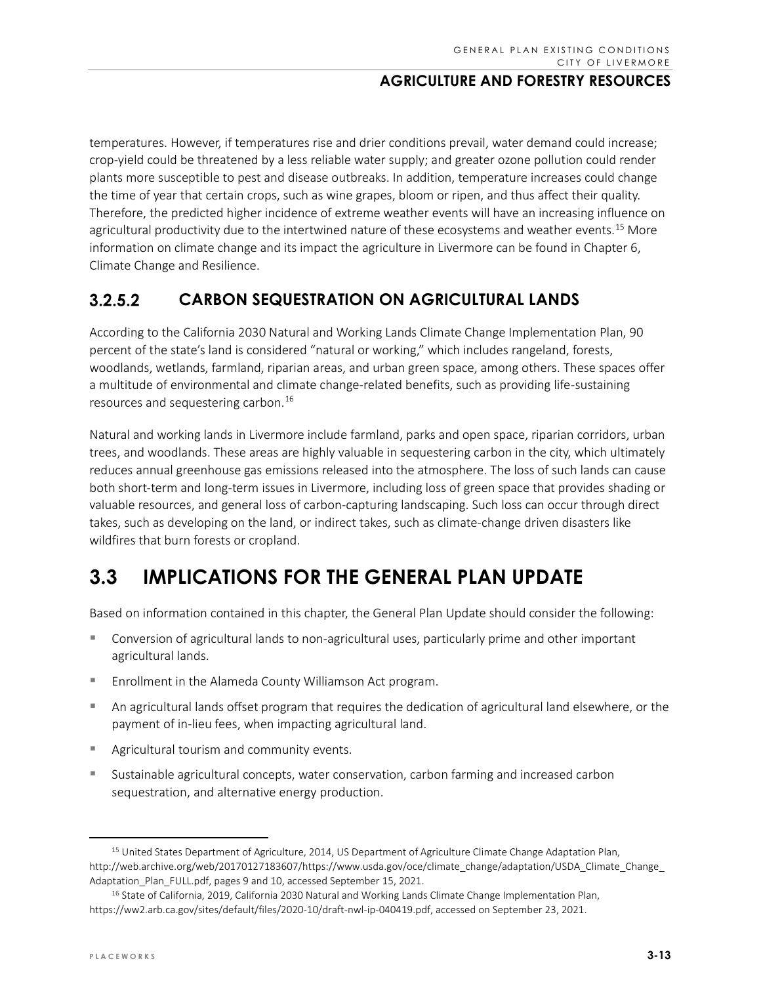temperatures. However, if temperatures rise and drier conditions prevail, water demand could increase; crop-yield could be threatened by a less reliable water supply; and greater ozone pollution could render plants more susceptible to pest and disease outbreaks. In addition, temperature increases could change the time of year that certain crops, such as wine grapes, bloom or ripen, and thus affect their quality. Therefore, the predicted higher incidence of extreme weather events will have an increasing influence on agricultural productivity due to the intertwined nature of these ecosystems and weather events.<sup>[15](#page-12-0)</sup> More information on climate change and its impact the agriculture in Livermore can be found in Chapter 6, Climate Change and Resilience.

#### $3.2.5.2$ **CARBON SEQUESTRATION ON AGRICULTURAL LANDS**

According to the California 2030 Natural and Working Lands Climate Change Implementation Plan, 90 percent of the state's land is considered "natural or working," which includes rangeland, forests, woodlands, wetlands, farmland, riparian areas, and urban green space, among others. These spaces offer a multitude of environmental and climate change-related benefits, such as providing life -sustaining resources and sequestering carbon.<sup>[16](#page-12-1)</sup>

Natural and working lands in Livermore include farmland, parks and open space, riparian corridors, urban trees, and woodlands. These areas are highly valuable in sequestering carbon in the city, which ultimately reduces annual greenhouse gas emissions released into the atmosphere. The loss of such lands can cause both short-term and long-term issues in Livermore, including loss of green space that provides shading or valuable resources, and general loss of carbon-capturing landscaping. Such loss can occur through direct takes, such as developing on the land, or indirect takes, such as climate-change driven disasters like wildfires that burn forests or cropland.

# **3.3 IMPLICATIONS FOR THE GENERAL PLAN UPDATE**

Based on information contained in this chapter, the General Plan Update should consider the following:

- Conversion of agricultural lands to non-agricultural uses, particularly prime and other important agricultural lands.
- Enrollment in the Alameda County Williamson Act program.
- An agricultural lands offset program that requires the dedication of agricultural land elsewhere, or the payment of in-lieu fees, when impacting agricultural land.
- **Agricultural tourism and community events.**
- Sustainable agricultural concepts, water conservation, carbon farming and increased carbon sequestration, and alternative energy production.

<span id="page-12-0"></span><sup>&</sup>lt;sup>15</sup> United States Department of Agriculture, 2014, US Department of Agriculture Climate Change Adaptation Plan, [http://web.archive.org/web/20170127183607/https://www.usda.gov/oce/climate\\_change/adaptation/USDA\\_Climate\\_Change\\_](http://web.archive.org/web/20170127183607/https:/www.usda.gov/oce/climate_change/adaptation/USDA_Climate_Change_Adaptation_Plan_FULL.pdf) Adaptation Plan FULL.pdf, pages 9 and 10, accessed September 15, 2021.

<span id="page-12-1"></span><sup>16</sup> State of California, 2019, California 2030 Natural and Working Lands Climate Change Implementation Plan, [https://ww2.arb.ca.gov/sites/default/files/2020-10/draft-nwl-ip-040419.pdf,](https://ww2.arb.ca.gov/sites/default/files/2020-10/draft-nwl-ip-040419.pdf) accessed on September 23, 2021.